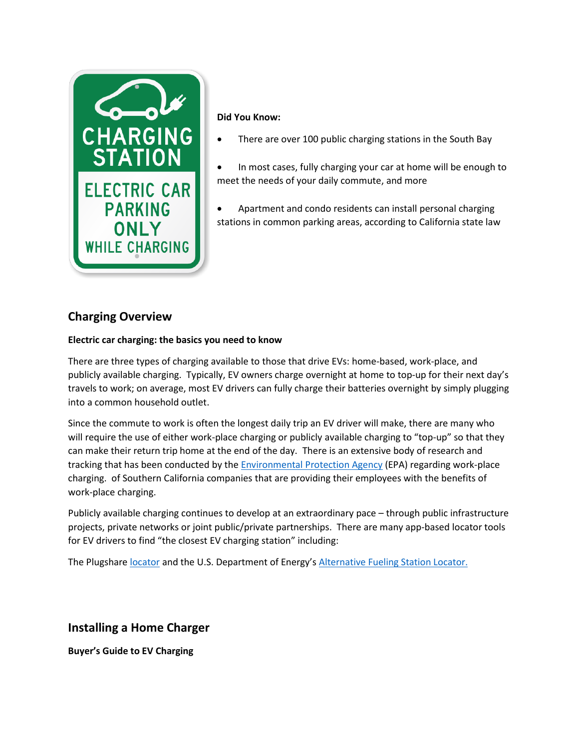

#### **Did You Know:**

- There are over 100 public charging stations in the South Bay
- In most cases, fully charging your car at home will be enough to meet the needs of your daily commute, and more
- Apartment and condo residents can install personal charging stations in common parking areas, according to California state law

## **Charging Overview**

### **Electric car charging: the basics you need to know**

There are three types of charging available to those that drive EVs: home-based, work-place, and publicly available charging. Typically, EV owners charge overnight at home to top-up for their next day's travels to work; on average, most EV drivers can fully charge their batteries overnight by simply plugging into a common household outlet.

Since the commute to work is often the longest daily trip an EV driver will make, there are many who will require the use of either work-place charging or publicly available charging to "top-up" so that they can make their return trip home at the end of the day. There is an extensive body of research and tracking that has been conducted by th[e Environmental Protection Agency](https://www.epa.gov/cati/workplace-electric-vehicle-charging-stations-californias-south-coast) (EPA) regarding work-place charging. of Southern California companies that are providing their employees with the benefits of work-place charging.

Publicly available charging continues to develop at an extraordinary pace – through public infrastructure projects, private networks or joint public/private partnerships. There are many app-based locator tools for EV drivers to find "the closest EV charging station" including:

The Plugshare [locator](http://www.southbaycities.org/programs/electric-vehicles/ev-charging-stations) and the U.S. Department of Energy's [Alternative Fueling Station Locator.](https://www.afdc.energy.gov/stations/#/find/nearest)

# **Installing a Home Charger**

**Buyer's Guide to EV Charging**